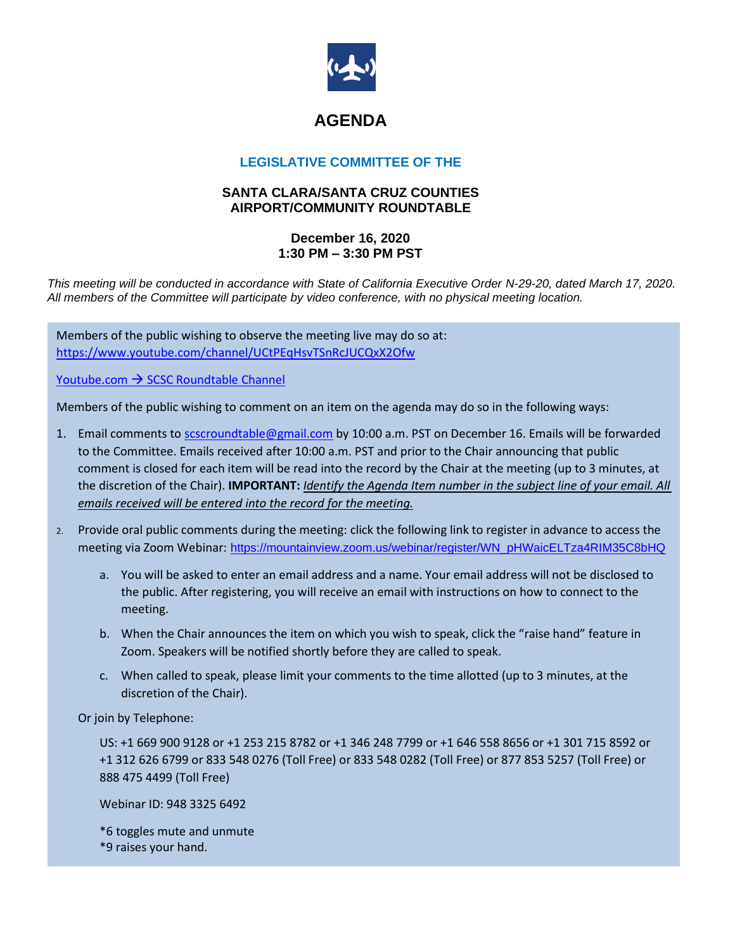

## **AGENDA**

## **LEGISLATIVE COMMITTEE OF THE**

## **SANTA CLARA/SANTA CRUZ COUNTIES AIRPORT/COMMUNITY ROUNDTABLE**

## **December 16, 2020 1:30 PM – 3:30 PM PST**

*This meeting will be conducted in accordance with State of California Executive Order N-29-20, dated March 17, 2020. All members of the Committee will participate by video conference, with no physical meeting location.*

Members of the public wishing to observe the meeting live may do so at: <https://www.youtube.com/channel/UCtPEqHsvTSnRcJUCQxX2Ofw>

Youtube.com → [SCSC Roundtable Channel](https://www.youtube.com/channel/UCtPEqHsvTSnRcJUCQxX2Ofw)

Members of the public wishing to comment on an item on the agenda may do so in the following ways:

- 1. Email comments t[o scscroundtable@gmail.com](mailto:scscroundtable@gmail.com) by 10:00 a.m. PST on December 16. Emails will be forwarded to the Committee. Emails received after 10:00 a.m. PST and prior to the Chair announcing that public comment is closed for each item will be read into the record by the Chair at the meeting (up to 3 minutes, at the discretion of the Chair). **IMPORTANT:** *Identify the Agenda Item number in the subject line of your email. All emails received will be entered into the record for the meeting.*
- 2. Provide oral public comments during the meeting: click the following link to register in advance to access the meeting via Zoom Webinar: [https://mountainview.zoom.us/webinar/register/WN\\_pHWaicELTza4RIM35C8bHQ](https://mountainview.zoom.us/webinar/register/WN_pHWaicELTza4RIM35C8bHQ)
	- a. You will be asked to enter an email address and a name. Your email address will not be disclosed to the public. After registering, you will receive an email with instructions on how to connect to the meeting.
	- b. When the Chair announces the item on which you wish to speak, click the "raise hand" feature in Zoom. Speakers will be notified shortly before they are called to speak.
	- c. When called to speak, please limit your comments to the time allotted (up to 3 minutes, at the discretion of the Chair).

Or join by Telephone:

US: +1 669 900 9128 or +1 253 215 8782 or +1 346 248 7799 or +1 646 558 8656 or +1 301 715 8592 or +1 312 626 6799 or 833 548 0276 (Toll Free) or 833 548 0282 (Toll Free) or 877 853 5257 (Toll Free) or 888 475 4499 (Toll Free)

Webinar ID: 948 3325 6492

\*6 toggles mute and unmute \*9 raises your hand.